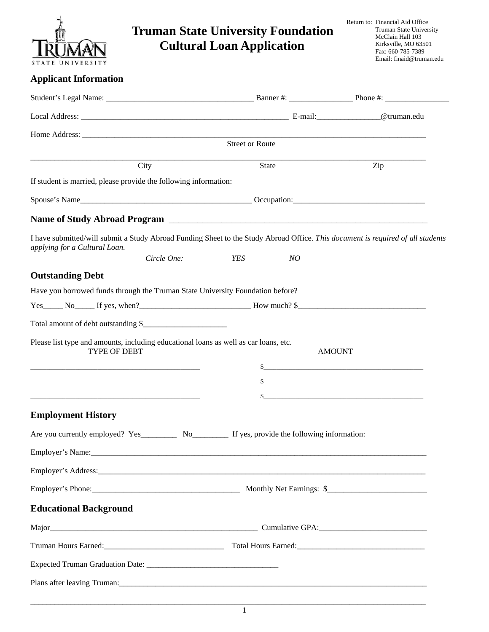| STATE UNIVERSITY                                                                                            |             | <b>Truman State University Foundation</b><br><b>Cultural Loan Application</b>                                                                | Return to: Financial Aid Office<br><b>Truman State University</b><br>McClain Hall 103<br>Kirksville, MO 63501<br>Fax: 660-785-7389<br>Email: finaid@truman.edu |
|-------------------------------------------------------------------------------------------------------------|-------------|----------------------------------------------------------------------------------------------------------------------------------------------|----------------------------------------------------------------------------------------------------------------------------------------------------------------|
| <b>Applicant Information</b>                                                                                |             |                                                                                                                                              |                                                                                                                                                                |
|                                                                                                             |             |                                                                                                                                              |                                                                                                                                                                |
|                                                                                                             |             |                                                                                                                                              |                                                                                                                                                                |
|                                                                                                             |             |                                                                                                                                              |                                                                                                                                                                |
|                                                                                                             |             | <b>Street or Route</b>                                                                                                                       |                                                                                                                                                                |
|                                                                                                             | City        | State                                                                                                                                        | Zip                                                                                                                                                            |
| If student is married, please provide the following information:                                            |             |                                                                                                                                              |                                                                                                                                                                |
|                                                                                                             |             |                                                                                                                                              |                                                                                                                                                                |
|                                                                                                             |             | Name of Study Abroad Program                                                                                                                 |                                                                                                                                                                |
| applying for a Cultural Loan.                                                                               | Circle One: | I have submitted/will submit a Study Abroad Funding Sheet to the Study Abroad Office. This document is required of all students<br>YES<br>NO |                                                                                                                                                                |
| <b>Outstanding Debt</b>                                                                                     |             |                                                                                                                                              |                                                                                                                                                                |
| Have you borrowed funds through the Truman State University Foundation before?                              |             |                                                                                                                                              |                                                                                                                                                                |
|                                                                                                             |             | $Yes$ No If yes, when?                                                                                                                       |                                                                                                                                                                |
| Total amount of debt outstanding \$                                                                         |             |                                                                                                                                              |                                                                                                                                                                |
| Please list type and amounts, including educational loans as well as car loans, etc.<br><b>TYPE OF DEBT</b> |             | <b>AMOUNT</b>                                                                                                                                |                                                                                                                                                                |
|                                                                                                             |             | $\sim$                                                                                                                                       |                                                                                                                                                                |
|                                                                                                             |             | \$                                                                                                                                           |                                                                                                                                                                |
|                                                                                                             |             | \$                                                                                                                                           |                                                                                                                                                                |
| <b>Employment History</b>                                                                                   |             |                                                                                                                                              |                                                                                                                                                                |
|                                                                                                             |             |                                                                                                                                              |                                                                                                                                                                |
|                                                                                                             |             |                                                                                                                                              |                                                                                                                                                                |
|                                                                                                             |             |                                                                                                                                              |                                                                                                                                                                |
|                                                                                                             |             |                                                                                                                                              |                                                                                                                                                                |
| <b>Educational Background</b>                                                                               |             |                                                                                                                                              |                                                                                                                                                                |
|                                                                                                             |             |                                                                                                                                              |                                                                                                                                                                |
|                                                                                                             |             |                                                                                                                                              |                                                                                                                                                                |
|                                                                                                             |             |                                                                                                                                              |                                                                                                                                                                |
|                                                                                                             |             |                                                                                                                                              |                                                                                                                                                                |
|                                                                                                             |             |                                                                                                                                              |                                                                                                                                                                |

1

\_\_\_\_\_\_\_\_\_\_\_\_\_\_\_\_\_\_\_\_\_\_\_\_\_\_\_\_\_\_\_\_\_\_\_\_\_\_\_\_\_\_\_\_\_\_\_\_\_\_\_\_\_\_\_\_\_\_\_\_\_\_\_\_\_\_\_\_\_\_\_\_\_\_\_\_\_\_\_\_\_\_\_\_\_\_\_\_\_\_\_\_\_\_\_\_\_\_\_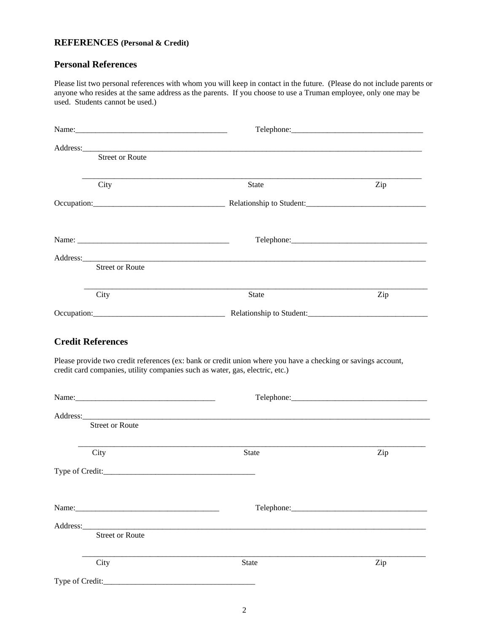#### **REFERENCES (Personal & Credit)**

#### **Personal References**

Please list two personal references with whom you will keep in contact in the future. (Please do not include parents or anyone who resides at the same address as the parents. If you choose to use a Truman employee, only one may be used. Students cannot be used.)

| <b>Street or Route</b> |              |     |
|------------------------|--------------|-----|
| City                   | State        | Zip |
|                        |              |     |
|                        |              |     |
| <b>Street or Route</b> |              |     |
| City                   | <b>State</b> | Zip |
|                        |              |     |
|                        |              |     |
|                        |              |     |
| <b>Street or Route</b> |              |     |
| City                   |              |     |
|                        | <b>State</b> | Zip |
|                        |              |     |
|                        | Telephone:   |     |
|                        |              |     |
| <b>Street or Route</b> |              |     |
| City                   | <b>State</b> | Zip |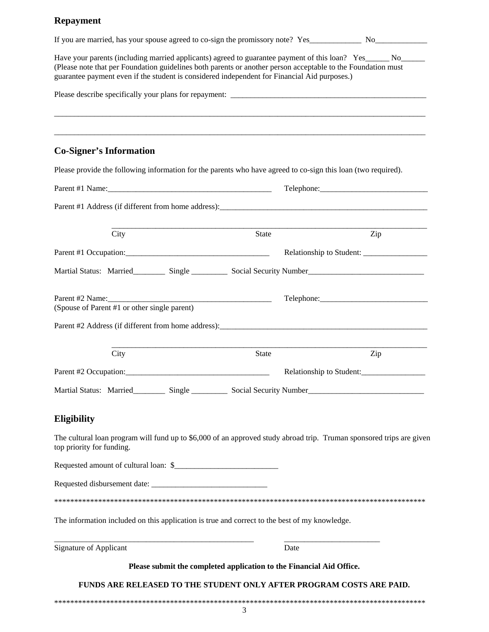### **Repayment**

| If you are married, has your spouse agreed to co-sign the promissory note? Yes_______________ No______________                                                                                                                                                                                                                |                                                                      |     |
|-------------------------------------------------------------------------------------------------------------------------------------------------------------------------------------------------------------------------------------------------------------------------------------------------------------------------------|----------------------------------------------------------------------|-----|
| Have your parents (including married applicants) agreed to guarantee payment of this loan? Yes______ No______<br>(Please note that per Foundation guidelines both parents or another person acceptable to the Foundation must<br>guarantee payment even if the student is considered independent for Financial Aid purposes.) |                                                                      |     |
|                                                                                                                                                                                                                                                                                                                               |                                                                      |     |
|                                                                                                                                                                                                                                                                                                                               |                                                                      |     |
|                                                                                                                                                                                                                                                                                                                               |                                                                      |     |
| <b>Co-Signer's Information</b>                                                                                                                                                                                                                                                                                                |                                                                      |     |
| Please provide the following information for the parents who have agreed to co-sign this loan (two required).                                                                                                                                                                                                                 |                                                                      |     |
|                                                                                                                                                                                                                                                                                                                               |                                                                      |     |
|                                                                                                                                                                                                                                                                                                                               |                                                                      |     |
| City                                                                                                                                                                                                                                                                                                                          | <b>State</b>                                                         | Zip |
|                                                                                                                                                                                                                                                                                                                               |                                                                      |     |
| Martial Status: Married Single Single Social Security Number                                                                                                                                                                                                                                                                  |                                                                      |     |
|                                                                                                                                                                                                                                                                                                                               |                                                                      |     |
| (Spouse of Parent #1 or other single parent)                                                                                                                                                                                                                                                                                  |                                                                      |     |
|                                                                                                                                                                                                                                                                                                                               |                                                                      |     |
|                                                                                                                                                                                                                                                                                                                               |                                                                      |     |
| City                                                                                                                                                                                                                                                                                                                          | State                                                                | Zip |
|                                                                                                                                                                                                                                                                                                                               |                                                                      |     |
| Martial Status: Married_________ Single __________ Social Security Number__________________________                                                                                                                                                                                                                           |                                                                      |     |
|                                                                                                                                                                                                                                                                                                                               |                                                                      |     |
| <b>Eligibility</b>                                                                                                                                                                                                                                                                                                            |                                                                      |     |
| The cultural loan program will fund up to \$6,000 of an approved study abroad trip. Truman sponsored trips are given<br>top priority for funding.                                                                                                                                                                             |                                                                      |     |
|                                                                                                                                                                                                                                                                                                                               |                                                                      |     |
|                                                                                                                                                                                                                                                                                                                               |                                                                      |     |
|                                                                                                                                                                                                                                                                                                                               |                                                                      |     |
| The information included on this application is true and correct to the best of my knowledge.                                                                                                                                                                                                                                 |                                                                      |     |
| Signature of Applicant                                                                                                                                                                                                                                                                                                        | Date                                                                 |     |
|                                                                                                                                                                                                                                                                                                                               | Please submit the completed application to the Financial Aid Office. |     |
| <b>FUNDS ARE RELEASED TO THE STUDENT ONLY AFTER PROGRAM COSTS ARE PAID.</b>                                                                                                                                                                                                                                                   |                                                                      |     |
|                                                                                                                                                                                                                                                                                                                               |                                                                      |     |